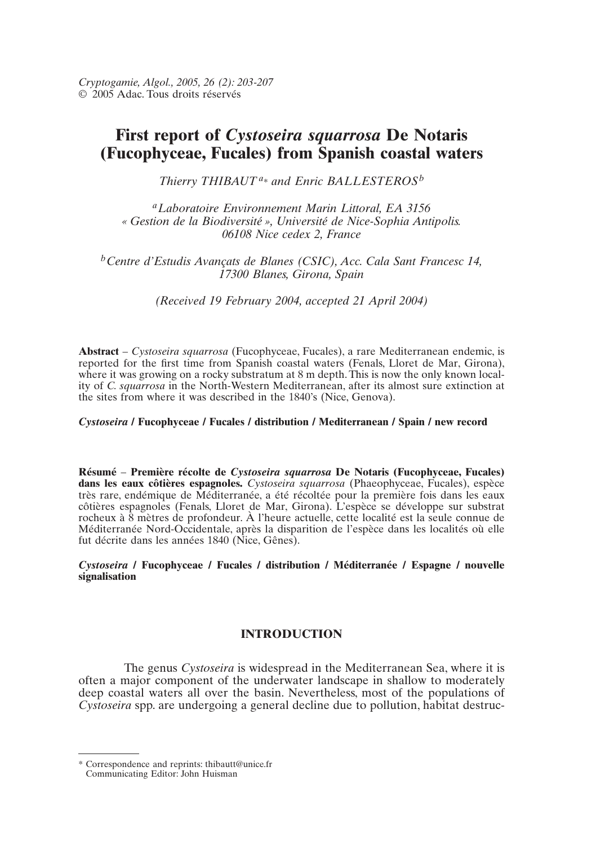# *ol., 2005, 26 (2): 203-207*<br>us droits réservés<br>**Teport of** *Cystoseira squarrosa* **De Notaris** *(c)* from Spanish coastal waters *a and Enric BALLESTEROS<sup>b</sup>*

*Thierry THIBAUT<sup>a\*</sup> and Enric BALLESTEROS*<sup>*b*</sup>

<sup>*a*</sup> Laboratoire Environnement Marin Littoral, EA 3156<br>Gestion de la Biodiversité », Université de Nice-Sophia Antipolis.<br>06108 Nice cedex 2. France 06108 Nice cedex 2. France

Estudis Avançats de Blanes (CSIC), Acc. Cala Sant Francesc 14, 17300 Blanes, Girona, Spain

(Received 19 February 2004, accepted 21 April 2004)

wetter and *Cystoseira squarrosa* (Fucophyceae, Fucales), a rare Mediterranean endemic, is<br>Abstract – *Cystoseira squarrosa* (Fucophyceae, Fucales), a rare Mediterranean endemic, is the site of the site of the site of the site of the 1840's (Nice, Genova). where it was growing on a rocky substratum at 8 m depth. This is now the only known localthe sites from where it was described in the 1840's (Nice, Genova). ity of *C. squarrosa* in the North-Western Mediterranean, after its almost sure extinction at

#### **/ Fucophyceae / Fucales / distribution / Mediterranean / Spain / new record**

 – **Première récolte de** *Cystoseira squarrosa* **De Notaris (Fucophyceae, Fucales)** *Cystoseira squarrosa* De Notaris (Fucophyceae, Fucales)<br>*Cystoseira squarrosa (Phaeophyceae, Fucales), espèce* Résumé – Première récolte de Cystoseira sauarrosa **De Notaris (Fucophyceae, Fucales)**<br> *psa* (Phaeophyceae, Fucales), espèce<br>
pour la première fois dans les eaux<br>
L'espèce se développe sur substrat dans les eaux côtières espagnoles. Cystoseira squarrosa (Phaeophyceae, Fucales), espèce rocheux à 8 mètres de profondeur. À l'heure actuelle, cette localité est la seule connue de  $\frac{M_{\text{max}}}{M}$  and  $\frac{M_{\text{max}}}{M}$  and  $\frac{M_{\text{max}}}{M}$  and  $\frac{M_{\text{max}}}{M}$  are endémique de  $M_{\text{min}}$  disparition de forested pour la première fois dans les eaux *Méditerranée Nord-Occidentale, après la disparition de l'espèce dans les localités où elle<br>fut décrite dans les années 1840 (Nice, Gênes).<br><i>Cystoseira / Fucophyceae / Fucales / distribution / Méditerranée / Espagne / nouv* côtières espagnoles (Fenals, Lloret de Mar, Girona). L'espèce se développe sur substrat fut décrite dans les années 1840 (Nice, Gênes).

signalisation

## $\blacksquare$

**is in the Mediterranean Sea, where it is**<br>**The genus Cystoseira is widespread in the Mediterranean Sea, where it is**<br>**often a major component of the underwater landscape in shallow to moderately<br>deep coastal waters all ov** often a major component of the underwater landscape in shallow to moderately deep coastal waters all over the basin. Nevertheless, most of the populations of

<sup>\*</sup> Correspondence and reprints: thibautt@unice.fr<br>Communicating Editor: John Huisman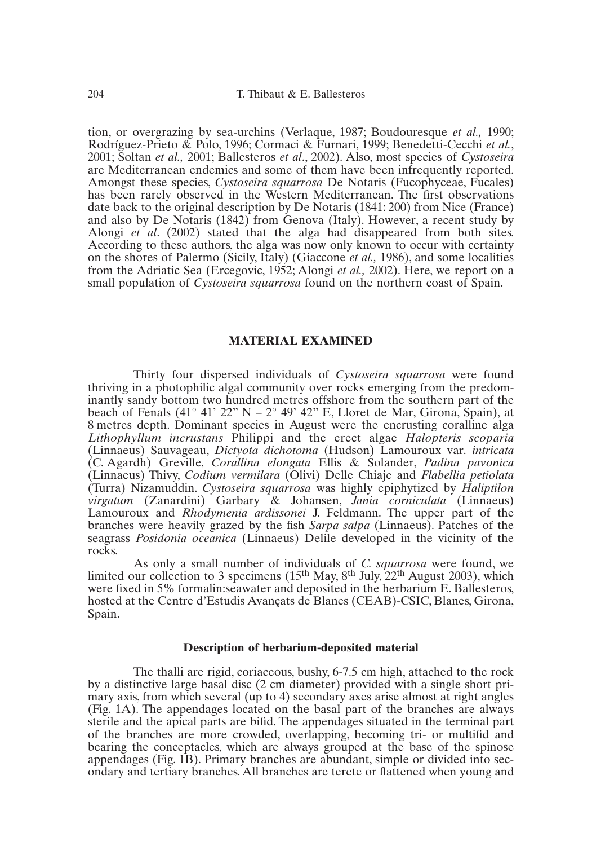204 T. Thibaut & E. Ballesteros<br>
204 T. Thibaut & E. Ballesteros<br>
204 tion. or overgrazing by sea-urchins (Verlague, 1987: Boudouresque *et al.*, 1990: ng by sea-urchins (Verlaque, 1987; Boudouresque *et al.*, 1990; & Polo, 1996; Cormaci & Furnari, 1999; Benedetti-Cecchi *et al.*, 2001: Ballesteros *et al.*, 2002). Also, most species of *Cystoseira* and begins to the original description by De Notaris (1842). The original description by De Notaris (1841: 184  $R$ odríguez-Prieto  $\&$  Pol 10, 1996; Cormaci & Furnari, 1999; Benedetti-Cecchi *et al.*, Ballesteros *et al.*, 2002). Also, most species of *Cystoseira* emics and some of them have been infrequently reported. Cystoseira squarrosa De Notaris (Fucophy 2001; Soltan *et al.*, 2001; Ballesteros *et al.*, 2002). Also, most species of *Cystoseira* are Mediterranean endemics and some of them have been infrequently reported.<br>Amongst these species, *Cystoseira squarrosa* De Not date back to the original description by De Notaris (1841: 200) from Nice (France) Amongst these species, *Cystoseira squarrosa* De Notaris (Fucophyceae, Fucales). and also by De Notaris (1842) from Genova (Italy). However, a recent study by Alongi *et al.* (2002) stated that the alga had disappeared from both sites. According to these authors, the alga was now only known to occur wi has been rarely observed in the Western Mediterranean. The first observations Alongi *et al.* (2002) stated that the alga had disappeared from both sites. According to these authors, the alga was now only known to occur with certainty on the shores of Palermo (Sicily, Italy) (Giaccone *et al.*, 1986), and some localities from the Adriatic Sea (Ercegovic, 1952; Alongi *et al.*, 2002). Here, we report on a small population of *Cystoseira squarrosa* found on the northern coast of Spain.

#### **MATERIAL EXAMINED community over**  $**WATEL**$

**MATERIAL EXAMINED**<br>
Thirty four dispersed individuals of *Cystoseira sauarrosa* were found inantly sandy bottom two hundred metres offshore from the southern part of the thriving in a photophilic algal community over rocks emerging from the predom- $\frac{1}{2}$  ( $\frac{1}{2}$   $\frac{1}{2}$   $\frac{1}{2}$   $\frac{1}{2}$   $\frac{1}{2}$   $\frac{1}{2}$   $\frac{1}{2}$   $\frac{1}{2}$   $\frac{1}{2}$   $\frac{1}{2}$   $\frac{1}{2}$   $\frac{1}{2}$   $\frac{1}{2}$   $\frac{1}{2}$   $\frac{1}{2}$   $\frac{1}{2}$   $\frac{1}{2}$   $\frac{1}{2}$   $\frac{1}{2}$   $\frac{1}{2}$   $\frac{1}{2}$  hundred metres offshore from the southern part of the example  $22$ " N –  $2^{\circ}$  49' 42" E, Lloret de Mar, Girona, Spain), at t species in August were the encrusting coralline algame Philippi and the erect algae *Halopteri* (Linnaeus) Sauvageau, *Dictyota dichotoma* (Hudson) Lamouroux var. *intricata*<br>
Sametres depth. Dominant species in August were the encrusting coralline alga<br> *Lithophyllum incrustans* Philippi and the erect algae *Halopte Corallina elongata* Ellis & Solander, *Padina pavonical*<br>*Corallina elongata* Ellis & Solander, *Padina pavonica*<br>*Corallina elongata* Ellis & Solander, *Padina pavonica* Lithophyllum incrustans Philippi and the erect algae *Halopteris scoparia Crustans* Philippi and the erect algae *Halopteris scoparia* geau, *Dictyota dichotoma* (Hudson) Lamouroux var. *intricata* ville, *Corallina elongata* Ellis & Solander, *Padina pavonica* Codium vermilara (Olivi) Delle Ch (Linnaeus) Sauvageau, *Dictyota dichotoma* (Hudson) Lamouroux var. *intricata*<br>(C. Agardh) Greville, *Corallina elongata* Ellis & Solander, *Padina pavonica*<br>(Linnaeus) Thivy, *Codium vermilara* (Olivi) Delle Chiaje and *F C. Agardh)* Greville, *Corallina elongata* Ellis & Solander, *Padina pavonica* (Linnaeus) Thivy, *Codium vermilara* (Olivi) Delle Chiaje and *Flabellia petiolata* (Turra) Nizamuddin. Cystoseira squarrosa was highly epiphy (Linnaeus) Thivy, *Codium vermilara* (Olivi) Delle Chiaje and *Flabellia petiolata* vi) Delle Chiaje and *Flabellia petiolata*<br>a was highly epiphytized by *Haliptilon*<br>nansen, *Jania corniculata* (Linnaeus)<br>J. Feldmann. The upper part of the (Turra) Nizamuddin. Cystoseira squarrosa was highly epiphytized by *Haliptilon* (*v* epiphytized by *Haliptilon*<br>ia corniculata (Linnaeus)<br>in. The upper part of the<br>(Linnaeus). Patches of the virgatum (Zanardini) Garbary & Johansen, *Jania corniculata* (Linnaeus)<br>Lamouroux and *Rhodymenia ardissonei* J. Feldmann. The upper part of the<br>branches were heavily grazed by the fish *Sarpa salpa* (Linnaeus). Patches of rugun<br>Lamo were heavily grazed by the fish *Sarpa salpa* (Linnaeus). Patches of the *Posidonia oceanica* (Linnaeus) Delile developed in the vicinity of the As only a small number of individuals of *C. squarrosa* were found, we seagrass *Posidonia oceanica* (Linnaeus) Delile developed in the vicinity of the rocks Delile developed in the vicinity of the<br>iduals of *C. squarrosa* were found, we<br>May 2<sup>th</sup> July, 22<sup>th</sup> August 2003), which

limited our collection to 3 specimens  $(15<sup>th</sup>$  May,  $8<sup>th</sup>$  July,  $22<sup>th</sup>$  August 2003), which were fixed in 5% formal in: seawater and deposited in the herbarium E. Ballesteros,  $\Delta s$  at a small number of individuals of C *squarrosa* were found we **Description of Français at Dianes (CETD)** CSTC, Dianes, Ofform, Spain.

#### **Description of herbarium-deposited material** procription of heroarium-deposited material

 $\Gamma$ The thalli are rigid, coriaceous, bushy,  $6-7.5$  cm high, attached to the rock netive large basal disc  $(2 \text{ cm diameter})$  provided with a single short prifrom which several  $(up to 4)$  secondary axes arise almost at right angles The The thalli are rigid, coriaceous, bushy, 6-7.5 cm high, attached to the rock m diameter) provided with a single short pri-<br>4) secondary axes arise almost at right angles<br>on the basal part of the branches are always<br>The appendages situated in the terminal part by a distinctive large basal disc (2 cm diameter) provided with a single short pri- $\sigma$  the branches are closed and  $(\sigma)$  the branches problem are more crowded with a single short pri-(Fig. 1A). The appendages located on the basal part of the branches are always sterile and the apical parts are bifid. The appendages situated in the terminal part of the branches are more crowded, overlapping, becoming tri- or multifid and bearing the conceptacles, which are always grouped at the base of the spinose appendages (Fig. 1B). Primary branches are abundant, simple or divided into secondary and tertiary branches. All branches are terete or flattened when young and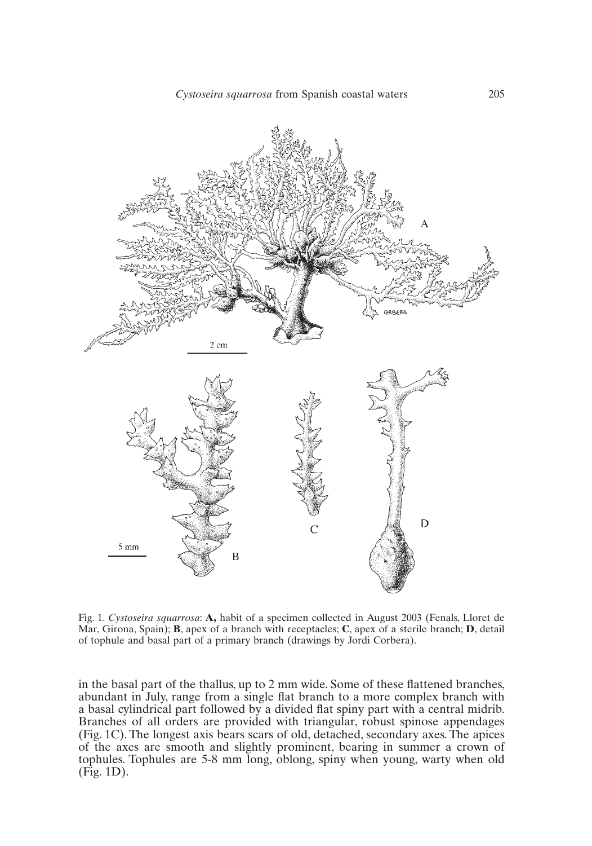

of tophule and basal part of a primary branch (drawings by Jordi Corbera). **B**, approvaluation and a speciment collected in August 2003 (Fenals, Lloret de **B**, apex of a branch with receptacles: **C**, apex of a sterile branch: **D**, detail

In the basal part of the thallus, up to 2 mm wide. Some of these flattened branches, (Fig. 1C). The longest axis bears scars of old, detached, secondary axes. The apices of all orders are provided with triangular, robust spinose appendages.<br>(Fig. 1C). The longest axis bears scars of old, detached, secondar as and any means are small and single the station of a more complex station with a contral midrib. to dear symmetrical part follows are grovided with triangular, robust spinose appendages of the axes are smooth and slightly prominent, bearing in summer a crown of tophules. Tophules are 5-8 mm long, oblong, spiny when young, warty when old (Fig. 1C). The longest axis bears scars of old, detached, secondary axes. The apices  $(Fig. 1D)$ .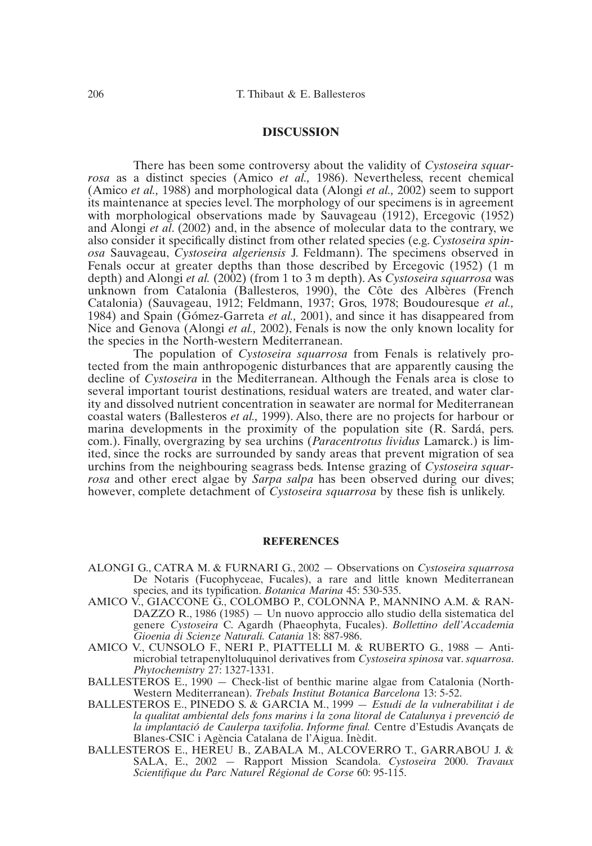### **DISCUSSION**

**EXECUSSION**<br>There has been some controversy about the validity of Cystoseira squar-<br>as a distinct species (Amico *et al.,* 1986). Nevertheless, recent chemical 1988) e has been some controversy about the validity of *Cystoseira squar*-<br>1988) and morphological data (Alongi *et al.*, 2002) seem to support<br>1988) and morphological data (Alongi *et al.*, 2002) seem to support There has been some controversy about the validity of Cystoseira squar- $\frac{1}{2}$  also consider its maintenance at species level. The morphology of our specimens is in agreement  $\frac{1}{1000}$  as a distinct species (Amico *et al.* 1986). Nevertheless recent chemical (Amico *et al.*, 1988) and morphological data (Alongi *et al.*, 2002) seem to support and Alongi *et al.* (2002) and, in the absence of molecular data to the contrary, we *Cis* is in agreement<br> *Creegovic* (1952)<br> *Cystoseira spin*with morphological observations made by Sauvageau (1912), Ercegovic (1952)<br>and Alongi *et al.* (2002) and, in the absence of molecular data to the contrary, we<br>also consider it specifically distinct from other related spec Fenals occur at greater depths than those described by Ercegovic (1952) (1 m also consider it specifically distinct from other related species (e.g. Cystoseira spin-Illy distinct from other related species (e.g. Cystoseira spin-<br> *eira algeriensis* J. Feldmann). The specimens observed in<br> *c* depths than those described by Ercegovic (1952) (1 m<br>
(2002) (from 1 to 3 m depth). As *Cysto* unknown from Catalonia (Ballesteros, 1990), the Côte des Albères (FrenchFranchish Contribution 1 Collection<br>Feldmann, 1937; Gros, 1978; Boudouresque *et al.*,<br>Feldmann, 1937; Gros, 1978; Boudouresque *et al.*, depth) and Alongi *et al.* (2002) (from 1 to 3 m depth). As Cystoseira squarrosa was  $\overline{200}$ , and since it has *Cystoseira squarrosa* was<br>  $\overline{2001}$ , the Côte des Albères (French<br>  $\overline{2001}$ ), and since it has disappeared from  $\frac{1}{2}$  and Frongi *et al.*  $\frac{1}{2}$  (Eq. 2014) lesteros, 1990), the Côte des Albères (French<br>eldmann, 1937; Gros, 1978; Boudouresque *et al.*,<br>ta *et al.*, 2001), and since it has disappeared from<br>2002). Fenals is now the only known locality for Catalonia) (Sauvageau, 1912; Feldmann, 1937; Gros, 1978; Boudouresque et al., the species in the North-western Mediterranean. The population of *Cyclaring Cystalian, 1994*, *Cyclaring Cystalian Cystalic and Spain (Gómez-Garreta <i>et al.*, 2001), and since it has disappeared from Nice and Genova (Alongi *et al.*, 2002), Fenals is now the only known locality for

tected from the main anthropogenic disturbances that are apparently causing the First Level, The Mediterranean.<br>
ion of *Cystoseira squarrosa* from Fenals is relatively pro-<br>
anthropogenic disturbances that are apparently causing the<br>
in the Mediterranean. Although the Fenals area is close to sexeral increases the treater increases the conduction of *Cystoseira squarrosa* from Fenals is relatively proity and dissolved nutrient concentration in seawater are normal for Mediterranean decline of *Cystoseira* in the Mediterranean. Although the Fenals area is close to Interranean. Although the Fenals area is close to<br>tions, residual waters are treated, and water clar-<br>tration in seawater are normal for Mediterranean<br>1999). Also, there are no projects for harbour or several important tourist destinations, residual waters are treated, and water clarproduct the neighbouring season the neighbouring season of the neighbors of *CR.* Sardá, pers. Finally, overgrazing by sea urchins (*Paracentrotus lividus* Lamarck), the difference of discolved nutrient concentration in seawater are no projects for harbour or a developments in the proximity of the population site (R  $\frac{1}{2}$  increases the rocks are substitution in sections are no projects for harbour or coastal waters (Ballesteros *et al.* 1999). Also, there are no projects for harbour or however, complete detachment of *Cystoseira squarrosa* and other erect algae by *Sarpa salpa* has been observed during our dives;<br>however, complete detachment of *Cystoseira squarrosa* by these fish is unlikely. *rosa*.). Finally, overgrazing by sea urchins (*Paracentrotus lividus* Lamarck.) is limited, since the rocks are surrounded by sandy areas that prevent migration of sea urchins from the neighbouring seagrass beds. Intense

#### ALONGI G., CATRA M. & FURNARI G., 2002 — Observations on *Cystoseira squarrosa*REFERENCES

- De Notaris (Fucophyceae, Fucales), a rare and little known Mediterranean **ARI G., 2002 – Observations**<br>*Fucales*), a rare and little *Botanica Marina* 45: 530-535. ALONGLE CATRA M & FURNARLE  $\overline{G}$ , 2002 – Observations on Cystoseira squarrosa species, and its typification. *Botanica Marina* 45: 530-535.
- $\overline{DAZZO}$  R., 1986 (1985) Un nuovo approccio allo studio della sistematica del pification. *Botanica Marina* 45: 530-535.<br>
5, COLOMBO P., COLONNA P., MANNINO A.M. & RAN-<br>
(1985) — Un nuovo approccio allo studio della sistematica del<br>
C. Agardh (Phaeophyta, Fucales). *Bollettino dell'Accademia Gioenia di Scienze Naturali. Catania*COLONNA<br>
vo approccio<br>
eophyta, Fuc<br>
18: 887-986. genere Cystoseira C. Agardh (Phaeophyta, Fucales). *Bollettino dell'Accademia*<br>Gioenia di Scienze Naturali. Catania 18: 887-986.<br>V., CUNSOLO F., NERI P., PIATTELLI M. & RUBERTO G., 1988 – Anti-<br>microbial tetrapenyltoluquin Gioenia di Scienze Naturali. Catania 18: 887-986.
- nze Naturali. C<br>F., NERI P.,<br>penyltoluquino<br>27: 1327-1331.  $B\text{AMICO}$  V. CUNSOLO E., NERI P. PIATTELLI M. & RUBERTO G. 1988 — Antimicrobial tetrapenyltoluquinol derivatives from Cystoseira spinosa var<br>Phytochemistry 27: 1327-1331.<br>TEROS E., 1990 – Check-list of benthic marine algae from Catalon<br>Western Mediterranean). *Trebals Institut Botanica Barce* Phytochemistry 27: 1327-1331.
- Assembly the Carlier of the Catalonia (North-<br>
1331.<br> *CCR CARCIA M., 1999 Estudi de la vulnerabilitat i de*<br> **CARCIA M., 1999 Estudi de la vulnerabilitat i de** *BALLESTEROS E., 1990 — Check-list of benthic marine algae from Catalonia (North-***Western Mediterranean). Trebals Institut Botanica Barcelona 13: 5-52.**
- Ia qualitat ambiental dels fons marins i la zona litoral de Catalunya i prevenció de<br>la implantació de Caulerpa taxifolia. Informe final. Centre d'Estudis Avançats de<br>Blanes-CSIC i Agència Catalana de l'Aigua. Inèdit.<br>BALL *Informe final. Barcelona* 13: 5-52.<br> **A M., 1999 – Estudi de la vulnerabilitat i de s** i la zona litoral de Catalunya i prevenció de *Informe final.* Centre d'Estudis Avancats de  $B = B$ lances-Catalana de l'Aigua. Inèdit. Inèdit. Inèdit. Inèdit. Inèdit. Inèdit. Inèdit. Inèdit. Inèdit. In expansion of the line of  $B = B$ Blanes-CSIC i Agència Catalana de l'Áigua. Inèdit. la implantació de Caulerpa taxifolia. Informe final. Centre d'Estudis Avançats de
- BALLESTEROS E., HEREU B., ZABALA M., ALCOVERRO T., GARRABOU J. & SALA, E., 2002 — Rapport Mission Scandola. Cystoseira 2000. Travaux Scientifique du Parc Naturel Régional de Corse 60: 95-115.